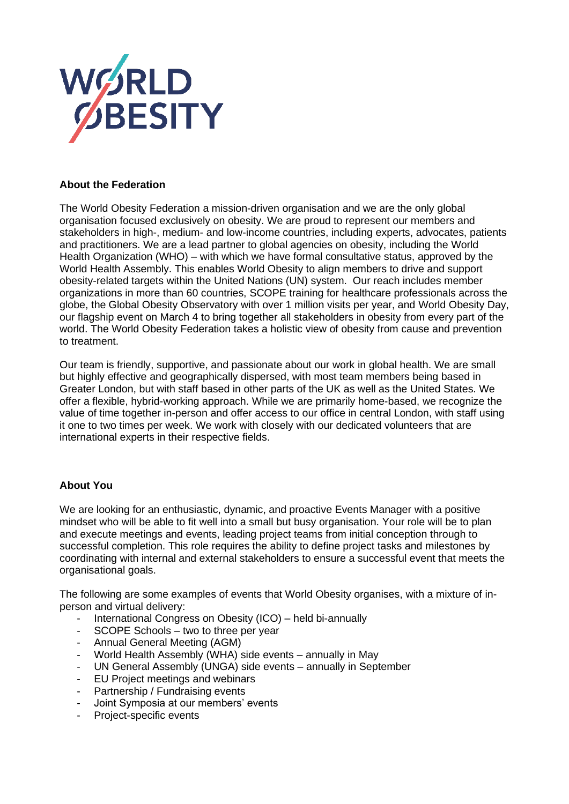

# **About the Federation**

The World Obesity Federation a mission-driven organisation and we are the only global organisation focused exclusively on obesity. We are proud to represent our members and stakeholders in high-, medium- and low-income countries, including experts, advocates, patients and practitioners. We are a lead partner to global agencies on obesity, including the World Health Organization (WHO) – with which we have formal consultative status, approved by the World Health Assembly. This enables World Obesity to align members to drive and support obesity-related targets within the United Nations (UN) system. Our reach includes member organizations in more than 60 countries, SCOPE training for healthcare professionals across the globe, the Global Obesity Observatory with over 1 million visits per year, and World Obesity Day, our flagship event on March 4 to bring together all stakeholders in obesity from every part of the world. The World Obesity Federation takes a holistic view of obesity from cause and prevention to treatment.

Our team is friendly, supportive, and passionate about our work in global health. We are small but highly effective and geographically dispersed, with most team members being based in Greater London, but with staff based in other parts of the UK as well as the United States. We offer a flexible, hybrid-working approach. While we are primarily home-based, we recognize the value of time together in-person and offer access to our office in central London, with staff using it one to two times per week. We work with closely with our dedicated volunteers that are international experts in their respective fields.

# **About You**

We are looking for an enthusiastic, dynamic, and proactive Events Manager with a positive mindset who will be able to fit well into a small but busy organisation. Your role will be to plan and execute meetings and events, leading project teams from initial conception through to successful completion. This role requires the ability to define project tasks and milestones by coordinating with internal and external stakeholders to ensure a successful event that meets the organisational goals.

The following are some examples of events that World Obesity organises, with a mixture of inperson and virtual delivery:

- International Congress on Obesity (ICO) held bi-annually
- SCOPE Schools two to three per year
- Annual General Meeting (AGM)
- World Health Assembly (WHA) side events annually in May
- UN General Assembly (UNGA) side events annually in September
- EU Project meetings and webinars
- Partnership / Fundraising events
- Joint Symposia at our members' events
- Project-specific events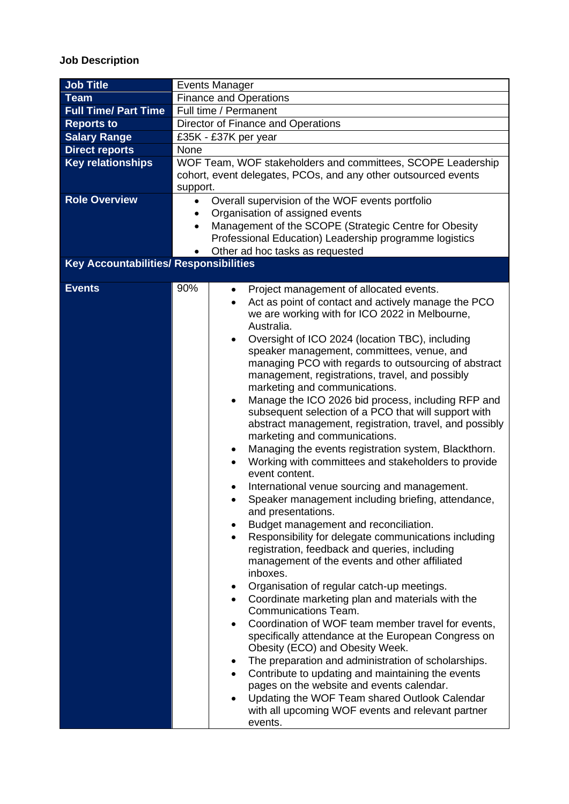# **Job Description**

| <b>Job Title</b>                              | <b>Events Manager</b>                                                                                                                     |  |  |
|-----------------------------------------------|-------------------------------------------------------------------------------------------------------------------------------------------|--|--|
| <b>Team</b>                                   | <b>Finance and Operations</b>                                                                                                             |  |  |
| <b>Full Time/ Part Time</b>                   | Full time / Permanent                                                                                                                     |  |  |
| <b>Reports to</b>                             | Director of Finance and Operations                                                                                                        |  |  |
| <b>Salary Range</b>                           | £35K - £37K per year                                                                                                                      |  |  |
| <b>Direct reports</b>                         | None                                                                                                                                      |  |  |
| <b>Key relationships</b>                      | WOF Team, WOF stakeholders and committees, SCOPE Leadership<br>cohort, event delegates, PCOs, and any other outsourced events<br>support. |  |  |
| <b>Role Overview</b>                          | Overall supervision of the WOF events portfolio<br>$\bullet$                                                                              |  |  |
|                                               | Organisation of assigned events<br>٠                                                                                                      |  |  |
|                                               | Management of the SCOPE (Strategic Centre for Obesity<br>$\bullet$                                                                        |  |  |
|                                               | Professional Education) Leadership programme logistics                                                                                    |  |  |
|                                               | Other ad hoc tasks as requested                                                                                                           |  |  |
| <b>Key Accountabilities/ Responsibilities</b> |                                                                                                                                           |  |  |
|                                               |                                                                                                                                           |  |  |
| <b>Events</b>                                 | 90%<br>Project management of allocated events.<br>٠                                                                                       |  |  |
|                                               | Act as point of contact and actively manage the PCO                                                                                       |  |  |
|                                               | we are working with for ICO 2022 in Melbourne,                                                                                            |  |  |
|                                               | Australia.                                                                                                                                |  |  |
|                                               | Oversight of ICO 2024 (location TBC), including<br>$\bullet$                                                                              |  |  |
|                                               | speaker management, committees, venue, and                                                                                                |  |  |
|                                               | managing PCO with regards to outsourcing of abstract                                                                                      |  |  |
|                                               | management, registrations, travel, and possibly                                                                                           |  |  |
|                                               | marketing and communications.                                                                                                             |  |  |
|                                               | Manage the ICO 2026 bid process, including RFP and<br>$\bullet$                                                                           |  |  |
|                                               | subsequent selection of a PCO that will support with                                                                                      |  |  |
|                                               | abstract management, registration, travel, and possibly                                                                                   |  |  |
|                                               | marketing and communications.                                                                                                             |  |  |
|                                               | Managing the events registration system, Blackthorn.<br>٠                                                                                 |  |  |
|                                               | Working with committees and stakeholders to provide<br>event content.                                                                     |  |  |
|                                               | International venue sourcing and management.                                                                                              |  |  |
|                                               | Speaker management including briefing, attendance,                                                                                        |  |  |
|                                               | and presentations.                                                                                                                        |  |  |
|                                               | Budget management and reconciliation.                                                                                                     |  |  |
|                                               | Responsibility for delegate communications including                                                                                      |  |  |
|                                               | registration, feedback and queries, including                                                                                             |  |  |
|                                               | management of the events and other affiliated                                                                                             |  |  |
|                                               | inboxes.                                                                                                                                  |  |  |
|                                               | Organisation of regular catch-up meetings.                                                                                                |  |  |
|                                               | Coordinate marketing plan and materials with the                                                                                          |  |  |
|                                               | Communications Team.                                                                                                                      |  |  |
|                                               | Coordination of WOF team member travel for events,<br>$\bullet$                                                                           |  |  |
|                                               | specifically attendance at the European Congress on<br>Obesity (ECO) and Obesity Week.                                                    |  |  |
|                                               | The preparation and administration of scholarships.                                                                                       |  |  |
|                                               | Contribute to updating and maintaining the events                                                                                         |  |  |
|                                               | pages on the website and events calendar.                                                                                                 |  |  |
|                                               | Updating the WOF Team shared Outlook Calendar                                                                                             |  |  |
|                                               | with all upcoming WOF events and relevant partner                                                                                         |  |  |
|                                               | events.                                                                                                                                   |  |  |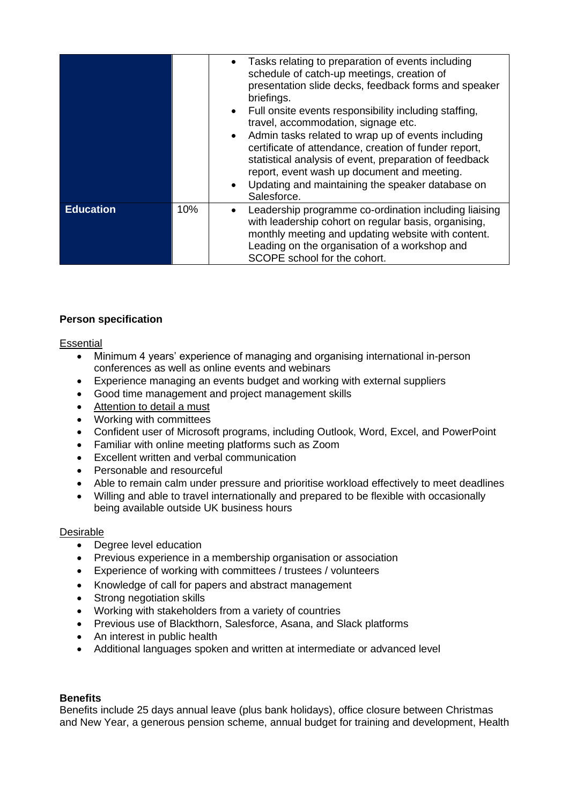|                  |     | Tasks relating to preparation of events including<br>schedule of catch-up meetings, creation of<br>presentation slide decks, feedback forms and speaker<br>briefings.<br>• Full onsite events responsibility including staffing,<br>travel, accommodation, signage etc.<br>• Admin tasks related to wrap up of events including<br>certificate of attendance, creation of funder report,<br>statistical analysis of event, preparation of feedback<br>report, event wash up document and meeting.<br>Updating and maintaining the speaker database on<br>Salesforce. |
|------------------|-----|----------------------------------------------------------------------------------------------------------------------------------------------------------------------------------------------------------------------------------------------------------------------------------------------------------------------------------------------------------------------------------------------------------------------------------------------------------------------------------------------------------------------------------------------------------------------|
| <b>Education</b> | 10% | Leadership programme co-ordination including liaising<br>with leadership cohort on regular basis, organising,<br>monthly meeting and updating website with content.<br>Leading on the organisation of a workshop and<br>SCOPE school for the cohort.                                                                                                                                                                                                                                                                                                                 |

# **Person specification**

# **Essential**

- Minimum 4 years' experience of managing and organising international in-person conferences as well as online events and webinars
- Experience managing an events budget and working with external suppliers
- Good time management and project management skills
- Attention to detail a must
- Working with committees
- Confident user of Microsoft programs, including Outlook, Word, Excel, and PowerPoint
- Familiar with online meeting platforms such as Zoom
- Excellent written and verbal communication
- Personable and resourceful
- Able to remain calm under pressure and prioritise workload effectively to meet deadlines
- Willing and able to travel internationally and prepared to be flexible with occasionally being available outside UK business hours

# Desirable

- Degree level education
- Previous experience in a membership organisation or association
- Experience of working with committees / trustees / volunteers
- Knowledge of call for papers and abstract management
- Strong negotiation skills
- Working with stakeholders from a variety of countries
- Previous use of Blackthorn, Salesforce, Asana, and Slack platforms
- An interest in public health
- Additional languages spoken and written at intermediate or advanced level

# **Benefits**

Benefits include 25 days annual leave (plus bank holidays), office closure between Christmas and New Year, a generous pension scheme, annual budget for training and development, Health